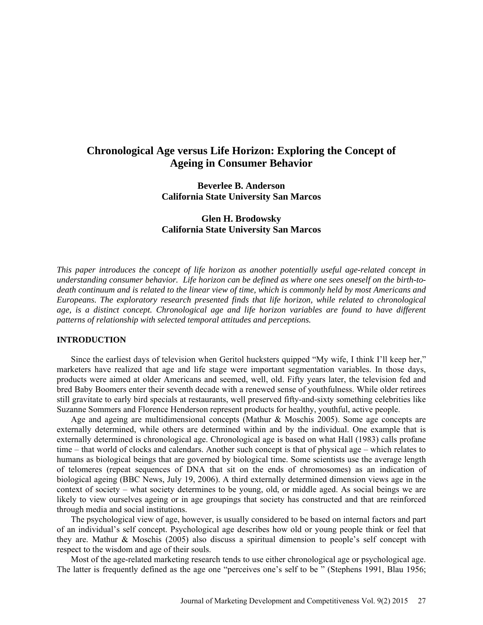# **Chronological Age versus Life Horizon: Exploring the Concept of Ageing in Consumer Behavior**

**Beverlee B. Anderson California State University San Marcos** 

# **Glen H. Brodowsky California State University San Marcos**

*This paper introduces the concept of life horizon as another potentially useful age-related concept in understanding consumer behavior. Life horizon can be defined as where one sees oneself on the birth-todeath continuum and is related to the linear view of time, which is commonly held by most Americans and Europeans. The exploratory research presented finds that life horizon, while related to chronological age, is a distinct concept. Chronological age and life horizon variables are found to have different patterns of relationship with selected temporal attitudes and perceptions.*

### **INTRODUCTION**

Since the earliest days of television when Geritol hucksters quipped "My wife, I think I'll keep her," marketers have realized that age and life stage were important segmentation variables. In those days, products were aimed at older Americans and seemed, well, old. Fifty years later, the television fed and bred Baby Boomers enter their seventh decade with a renewed sense of youthfulness. While older retirees still gravitate to early bird specials at restaurants, well preserved fifty-and-sixty something celebrities like Suzanne Sommers and Florence Henderson represent products for healthy, youthful, active people.

Age and ageing are multidimensional concepts (Mathur & Moschis 2005). Some age concepts are externally determined, while others are determined within and by the individual. One example that is externally determined is chronological age. Chronological age is based on what Hall (1983) calls profane time – that world of clocks and calendars. Another such concept is that of physical age – which relates to humans as biological beings that are governed by biological time. Some scientists use the average length of telomeres (repeat sequences of DNA that sit on the ends of chromosomes) as an indication of biological ageing (BBC News, July 19, 2006). A third externally determined dimension views age in the context of society – what society determines to be young, old, or middle aged. As social beings we are likely to view ourselves ageing or in age groupings that society has constructed and that are reinforced through media and social institutions.

The psychological view of age, however, is usually considered to be based on internal factors and part of an individual's self concept. Psychological age describes how old or young people think or feel that they are. Mathur & Moschis (2005) also discuss a spiritual dimension to people's self concept with respect to the wisdom and age of their souls.

Most of the age-related marketing research tends to use either chronological age or psychological age. The latter is frequently defined as the age one "perceives one's self to be " (Stephens 1991, Blau 1956;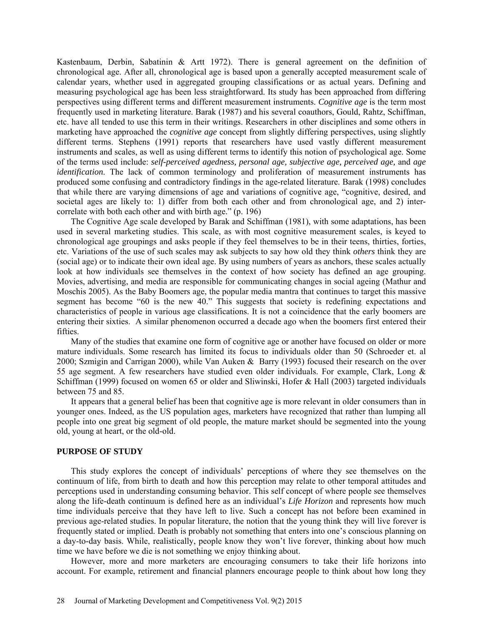Kastenbaum, Derbin, Sabatinin & Artt 1972). There is general agreement on the definition of chronological age. After all, chronological age is based upon a generally accepted measurement scale of calendar years, whether used in aggregated grouping classifications or as actual years. Defining and measuring psychological age has been less straightforward. Its study has been approached from differing perspectives using different terms and different measurement instruments. *Cognitive age* is the term most frequently used in marketing literature. Barak (1987) and his several coauthors, Gould, Rahtz, Schiffman, etc. have all tended to use this term in their writings. Researchers in other disciplines and some others in marketing have approached the *cognitive age* concept from slightly differing perspectives, using slightly different terms. Stephens (1991) reports that researchers have used vastly different measurement instruments and scales, as well as using different terms to identify this notion of psychological age. Some of the terms used include: *self-perceived agedness, personal age, subjective age, perceived age,* and *age identification*. The lack of common terminology and proliferation of measurement instruments has produced some confusing and contradictory findings in the age-related literature. Barak (1998) concludes that while there are varying dimensions of age and variations of cognitive age, "cognitive, desired, and societal ages are likely to: 1) differ from both each other and from chronological age, and 2) intercorrelate with both each other and with birth age." (p. 196)

The Cognitive Age scale developed by Barak and Schiffman (1981), with some adaptations, has been used in several marketing studies. This scale, as with most cognitive measurement scales, is keyed to chronological age groupings and asks people if they feel themselves to be in their teens, thirties, forties, etc. Variations of the use of such scales may ask subjects to say how old they think *others* think they are (social age) or to indicate their own ideal age. By using numbers of years as anchors, these scales actually look at how individuals see themselves in the context of how society has defined an age grouping. Movies, advertising, and media are responsible for communicating changes in social ageing (Mathur and Moschis 2005). As the Baby Boomers age, the popular media mantra that continues to target this massive segment has become "60 is the new 40." This suggests that society is redefining expectations and characteristics of people in various age classifications. It is not a coincidence that the early boomers are entering their sixties. A similar phenomenon occurred a decade ago when the boomers first entered their **fifties** 

Many of the studies that examine one form of cognitive age or another have focused on older or more mature individuals. Some research has limited its focus to individuals older than 50 (Schroeder et. al 2000; Szmigin and Carrigan 2000), while Van Auken & Barry (1993) focused their research on the over 55 age segment. A few researchers have studied even older individuals. For example, Clark, Long & Schiffman (1999) focused on women 65 or older and Sliwinski, Hofer & Hall (2003) targeted individuals between 75 and 85.

It appears that a general belief has been that cognitive age is more relevant in older consumers than in younger ones. Indeed, as the US population ages, marketers have recognized that rather than lumping all people into one great big segment of old people, the mature market should be segmented into the young old, young at heart, or the old-old.

### **PURPOSE OF STUDY**

This study explores the concept of individuals' perceptions of where they see themselves on the continuum of life, from birth to death and how this perception may relate to other temporal attitudes and perceptions used in understanding consuming behavior. This self concept of where people see themselves along the life-death continuum is defined here as an individual's *Life Horizon* and represents how much time individuals perceive that they have left to live. Such a concept has not before been examined in previous age-related studies. In popular literature, the notion that the young think they will live forever is frequently stated or implied. Death is probably not something that enters into one's conscious planning on a day-to-day basis. While, realistically, people know they won't live forever, thinking about how much time we have before we die is not something we enjoy thinking about.

However, more and more marketers are encouraging consumers to take their life horizons into account. For example, retirement and financial planners encourage people to think about how long they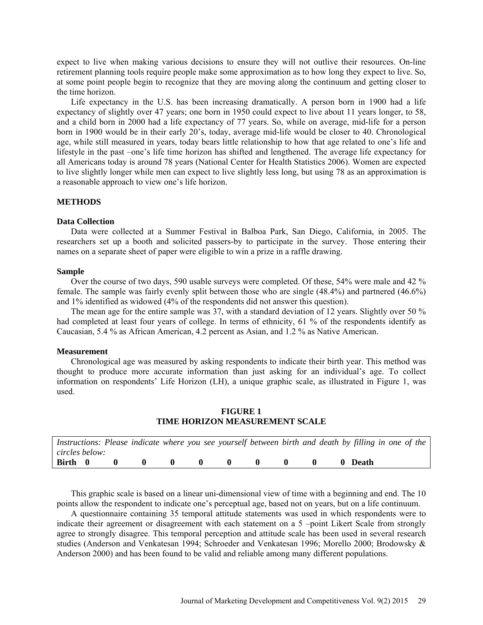expect to live when making various decisions to ensure they will not outlive their resources. On-line retirement planning tools require people make some approximation as to how long they expect to live. So, at some point people begin to recognize that they are moving along the continuum and getting closer to the time horizon.

Life expectancy in the U.S. has been increasing dramatically. A person born in 1900 had a life expectancy of slightly over 47 years; one born in 1950 could expect to live about 11 years longer, to 58, and a child born in 2000 had a life expectancy of 77 years. So, while on average, mid-life for a person born in 1900 would be in their early 20's, today, average mid-life would be closer to 40. Chronological age, while still measured in years, today bears little relationship to how that age related to one's life and lifestyle in the past –one's life time horizon has shifted and lengthened. The average life expectancy for all Americans today is around 78 years (National Center for Health Statistics 2006). Women are expected to live slightly longer while men can expect to live slightly less long, but using 78 as an approximation is a reasonable approach to view one's life horizon.

### **METHODS**

#### **Data Collection**

Data were collected at a Summer Festival in Balboa Park, San Diego, California, in 2005. The researchers set up a booth and solicited passers-by to participate in the survey. Those entering their names on a separate sheet of paper were eligible to win a prize in a raffle drawing.

### **Sample**

Over the course of two days, 590 usable surveys were completed. Of these, 54% were male and 42 % female. The sample was fairly evenly split between those who are single (48.4%) and partnered (46.6%) and 1% identified as widowed (4% of the respondents did not answer this question).

The mean age for the entire sample was 37, with a standard deviation of 12 years. Slightly over 50 % had completed at least four years of college. In terms of ethnicity, 61 % of the respondents identify as Caucasian, 5.4 % as African American, 4.2 percent as Asian, and 1.2 % as Native American.

### **Measurement**

Chronological age was measured by asking respondents to indicate their birth year. This method was thought to produce more accurate information than just asking for an individual's age. To collect information on respondents' Life Horizon (LH), a unique graphic scale, as illustrated in Figure 1, was used.

# **FIGURE 1 TIME HORIZON MEASUREMENT SCALE**

|                |              |                         |              |              |                | Instructions: Please indicate where you see yourself between birth and death by filling in one of the |  |  |         |  |  |
|----------------|--------------|-------------------------|--------------|--------------|----------------|-------------------------------------------------------------------------------------------------------|--|--|---------|--|--|
| circles below: |              |                         |              |              |                |                                                                                                       |  |  |         |  |  |
| Birth 0        | $\mathbf{0}$ | $\overline{\mathbf{0}}$ | $\mathbf{0}$ | $\mathbf{0}$ | $\blacksquare$ |                                                                                                       |  |  | 0 Death |  |  |

This graphic scale is based on a linear uni-dimensional view of time with a beginning and end. The 10 points allow the respondent to indicate one's perceptual age, based not on years, but on a life continuum.

A questionnaire containing 35 temporal attitude statements was used in which respondents were to indicate their agreement or disagreement with each statement on a 5 –point Likert Scale from strongly agree to strongly disagree. This temporal perception and attitude scale has been used in several research studies (Anderson and Venkatesan 1994; Schroeder and Venkatesan 1996; Morello 2000; Brodowsky & Anderson 2000) and has been found to be valid and reliable among many different populations.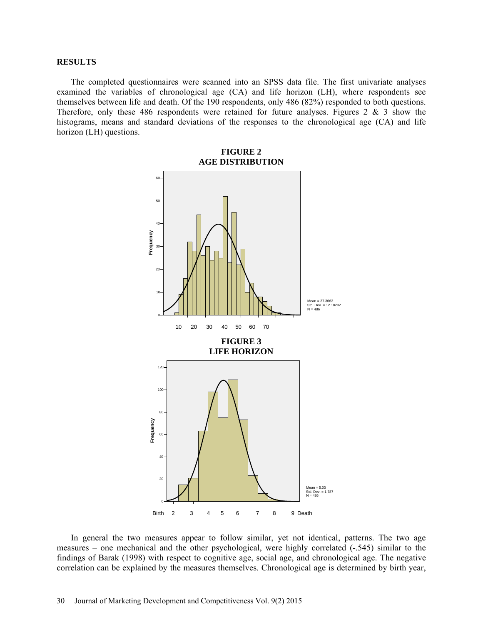#### **RESULTS**

The completed questionnaires were scanned into an SPSS data file. The first univariate analyses examined the variables of chronological age (CA) and life horizon (LH), where respondents see themselves between life and death. Of the 190 respondents, only 486 (82%) responded to both questions. Therefore, only these 486 respondents were retained for future analyses. Figures 2  $\&$  3 show the histograms, means and standard deviations of the responses to the chronological age (CA) and life horizon (LH) questions.



In general the two measures appear to follow similar, yet not identical, patterns. The two age measures – one mechanical and the other psychological, were highly correlated (-.545) similar to the findings of Barak (1998) with respect to cognitive age, social age, and chronological age. The negative correlation can be explained by the measures themselves. Chronological age is determined by birth year,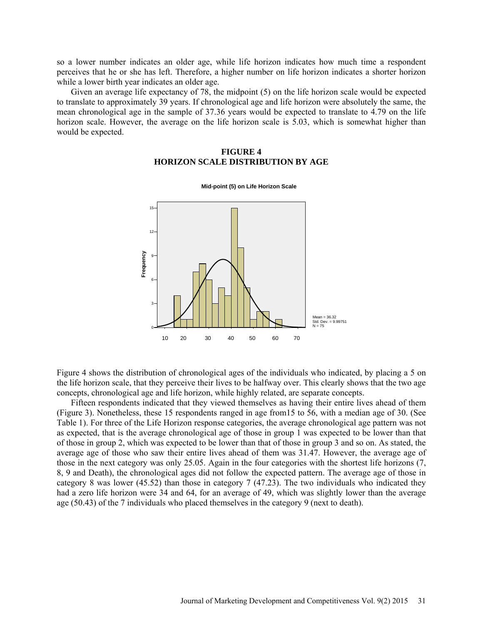so a lower number indicates an older age, while life horizon indicates how much time a respondent perceives that he or she has left. Therefore, a higher number on life horizon indicates a shorter horizon while a lower birth year indicates an older age.

Given an average life expectancy of 78, the midpoint (5) on the life horizon scale would be expected to translate to approximately 39 years. If chronological age and life horizon were absolutely the same, the mean chronological age in the sample of 37.36 years would be expected to translate to 4.79 on the life horizon scale. However, the average on the life horizon scale is 5.03, which is somewhat higher than would be expected.

### **FIGURE 4 HORIZON SCALE DISTRIBUTION BY AGE**



**Mid-point (5) on Life Horizon Scale**

Figure 4 shows the distribution of chronological ages of the individuals who indicated, by placing a 5 on the life horizon scale, that they perceive their lives to be halfway over. This clearly shows that the two age concepts, chronological age and life horizon, while highly related, are separate concepts.

Fifteen respondents indicated that they viewed themselves as having their entire lives ahead of them (Figure 3). Nonetheless, these 15 respondents ranged in age from15 to 56, with a median age of 30. (See Table 1). For three of the Life Horizon response categories, the average chronological age pattern was not as expected, that is the average chronological age of those in group 1 was expected to be lower than that of those in group 2, which was expected to be lower than that of those in group 3 and so on. As stated, the average age of those who saw their entire lives ahead of them was 31.47. However, the average age of those in the next category was only 25.05. Again in the four categories with the shortest life horizons (7, 8, 9 and Death), the chronological ages did not follow the expected pattern. The average age of those in category 8 was lower (45.52) than those in category 7 (47.23). The two individuals who indicated they had a zero life horizon were 34 and 64, for an average of 49, which was slightly lower than the average age (50.43) of the 7 individuals who placed themselves in the category 9 (next to death).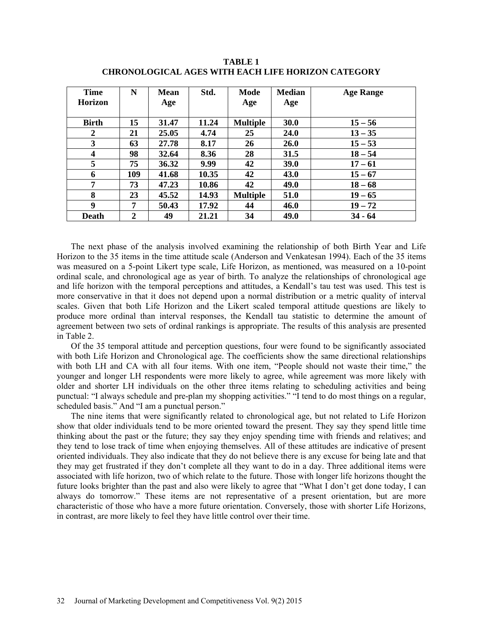| <b>Time</b>             | N            | <b>Mean</b> | Std.  | Mode            | <b>Median</b> | <b>Age Range</b> |
|-------------------------|--------------|-------------|-------|-----------------|---------------|------------------|
| <b>Horizon</b>          |              | Age         |       | Age             | Age           |                  |
|                         |              |             |       |                 |               |                  |
| <b>Birth</b>            | 15           | 31.47       | 11.24 | <b>Multiple</b> | 30.0          | $15 - 56$        |
| 2                       | 21           | 25.05       | 4.74  | 25              | <b>24.0</b>   | $13 - 35$        |
| 3                       | 63           | 27.78       | 8.17  | 26              | <b>26.0</b>   | $15 - 53$        |
| $\overline{\mathbf{4}}$ | 98           | 32.64       | 8.36  | 28              | 31.5          | $18 - 54$        |
| 5                       | 75           | 36.32       | 9.99  | 42              | <b>39.0</b>   | $17 - 61$        |
| 6                       | 109          | 41.68       | 10.35 | 42              | 43.0          | $15 - 67$        |
| 7                       | 73           | 47.23       | 10.86 | 42              | 49.0          | $18 - 68$        |
| 8                       | 23           | 45.52       | 14.93 | <b>Multiple</b> | 51.0          | $19 - 65$        |
| 9                       | 7            | 50.43       | 17.92 | 44              | 46.0          | $19 - 72$        |
| <b>Death</b>            | $\mathbf{2}$ | 49          | 21.21 | 34              | 49.0          | $34 - 64$        |

**TABLE 1 CHRONOLOGICAL AGES WITH EACH LIFE HORIZON CATEGORY**

The next phase of the analysis involved examining the relationship of both Birth Year and Life Horizon to the 35 items in the time attitude scale (Anderson and Venkatesan 1994). Each of the 35 items was measured on a 5-point Likert type scale, Life Horizon, as mentioned, was measured on a 10-point ordinal scale, and chronological age as year of birth. To analyze the relationships of chronological age and life horizon with the temporal perceptions and attitudes, a Kendall's tau test was used. This test is more conservative in that it does not depend upon a normal distribution or a metric quality of interval scales. Given that both Life Horizon and the Likert scaled temporal attitude questions are likely to produce more ordinal than interval responses, the Kendall tau statistic to determine the amount of agreement between two sets of ordinal rankings is appropriate. The results of this analysis are presented in Table 2.

Of the 35 temporal attitude and perception questions, four were found to be significantly associated with both Life Horizon and Chronological age. The coefficients show the same directional relationships with both LH and CA with all four items. With one item, "People should not waste their time," the younger and longer LH respondents were more likely to agree, while agreement was more likely with older and shorter LH individuals on the other three items relating to scheduling activities and being punctual: "I always schedule and pre-plan my shopping activities." "I tend to do most things on a regular, scheduled basis." And "I am a punctual person."

The nine items that were significantly related to chronological age, but not related to Life Horizon show that older individuals tend to be more oriented toward the present. They say they spend little time thinking about the past or the future; they say they enjoy spending time with friends and relatives; and they tend to lose track of time when enjoying themselves. All of these attitudes are indicative of present oriented individuals. They also indicate that they do not believe there is any excuse for being late and that they may get frustrated if they don't complete all they want to do in a day. Three additional items were associated with life horizon, two of which relate to the future. Those with longer life horizons thought the future looks brighter than the past and also were likely to agree that "What I don't get done today, I can always do tomorrow." These items are not representative of a present orientation, but are more characteristic of those who have a more future orientation. Conversely, those with shorter Life Horizons, in contrast, are more likely to feel they have little control over their time.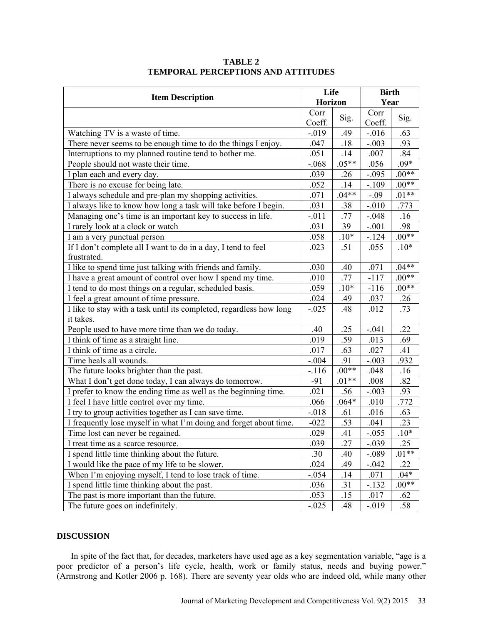|                                                                     | Life           |         | <b>Birth</b> |         |  |  |
|---------------------------------------------------------------------|----------------|---------|--------------|---------|--|--|
| <b>Item Description</b>                                             | <b>Horizon</b> |         | Year         |         |  |  |
|                                                                     | Corr           | Sig.    | Corr         | Sig.    |  |  |
|                                                                     | Coeff.         |         | Coeff.       |         |  |  |
| Watching TV is a waste of time.                                     | $-.019$        | .49     | $-0.016$     | .63     |  |  |
| There never seems to be enough time to do the things I enjoy.       | .047           | .18     | $-.003$      | .93     |  |  |
| Interruptions to my planned routine tend to bother me.              | .051           | .14     | .007         | .84     |  |  |
| People should not waste their time.                                 | $-.068$        | $.05**$ | .056         | $.09*$  |  |  |
| I plan each and every day.                                          | .039           | .26     | $-.095$      | $.00**$ |  |  |
| There is no excuse for being late.                                  | .052           | .14     | $-.109$      | $.00**$ |  |  |
| I always schedule and pre-plan my shopping activities.              | .071           | $.04**$ | $-.09$       | $.01**$ |  |  |
| I always like to know how long a task will take before I begin.     | .031           | .38     | $-.010$      | .773    |  |  |
| Managing one's time is an important key to success in life.         | $-.011$        | .77     | $-.048$      | .16     |  |  |
| I rarely look at a clock or watch                                   | .031           | 39      | $-.001$      | .98     |  |  |
| I am a very punctual person                                         | .058           | $.10*$  | $-.124$      | $.00**$ |  |  |
| If I don't complete all I want to do in a day, I tend to feel       | .023           | .51     | .055         | $.10*$  |  |  |
| frustrated.                                                         |                |         |              |         |  |  |
| I like to spend time just talking with friends and family.          | .030           | .40     | .071         | $.04**$ |  |  |
| I have a great amount of control over how I spend my time.          | .010           | .77     | $-117$       | $.00**$ |  |  |
| I tend to do most things on a regular, scheduled basis.             | .059           | $.10*$  | $-116$       | $.00**$ |  |  |
| I feel a great amount of time pressure.                             | .024           | .49     | .037         | .26     |  |  |
| I like to stay with a task until its completed, regardless how long | $-.025$        | .48     | .012         | .73     |  |  |
| it takes.                                                           |                |         |              |         |  |  |
| People used to have more time than we do today.                     | .40            | .25     | $-.041$      | .22     |  |  |
| I think of time as a straight line.                                 | .019           | .59     | .013         | .69     |  |  |
| I think of time as a circle.                                        | .017           | .63     | .027         | .41     |  |  |
| Time heals all wounds.                                              | $-.004$        | .91     | $-.003$      | .932    |  |  |
| The future looks brighter than the past.                            | $-.116$        | $.00**$ | .048         | .16     |  |  |
| What I don't get done today, I can always do tomorrow.              | $-91$          | $.01**$ | .008         | .82     |  |  |
| I prefer to know the ending time as well as the beginning time.     | .021           | .56     | $-.003$      | .93     |  |  |
| I feel I have little control over my time.                          | .066           | $.064*$ | .010         | .772    |  |  |
| I try to group activities together as I can save time.              | $-.018$        | .61     | .016         | .63     |  |  |
| I frequently lose myself in what I'm doing and forget about time.   | $-022$         | .53     | .041         | .23     |  |  |
| Time lost can never be regained.                                    | .029           | .41     | $-.055$      | $.10*$  |  |  |
| I treat time as a scarce resource.                                  | .039           | .27     | $-.039$      | .25     |  |  |
| I spend little time thinking about the future.                      | .30            | .40     | $-.089$      | $.01**$ |  |  |
| I would like the pace of my life to be slower.                      | .024           | .49     | $-.042$      | .22     |  |  |
| When I'm enjoying myself, I tend to lose track of time.             | $-.054$        | .14     | .071         | $.04*$  |  |  |
| I spend little time thinking about the past.                        | .036           | .31     | $-.132$      | $.00**$ |  |  |
| The past is more important than the future.                         | .053           | .15     | .017         | .62     |  |  |
| The future goes on indefinitely.                                    | $-.025$        | .48     | $-0.019$     | .58     |  |  |

## **TABLE 2 TEMPORAL PERCEPTIONS AND ATTITUDES**

## **DISCUSSION**

In spite of the fact that, for decades, marketers have used age as a key segmentation variable, "age is a poor predictor of a person's life cycle, health, work or family status, needs and buying power." (Armstrong and Kotler 2006 p. 168). There are seventy year olds who are indeed old, while many other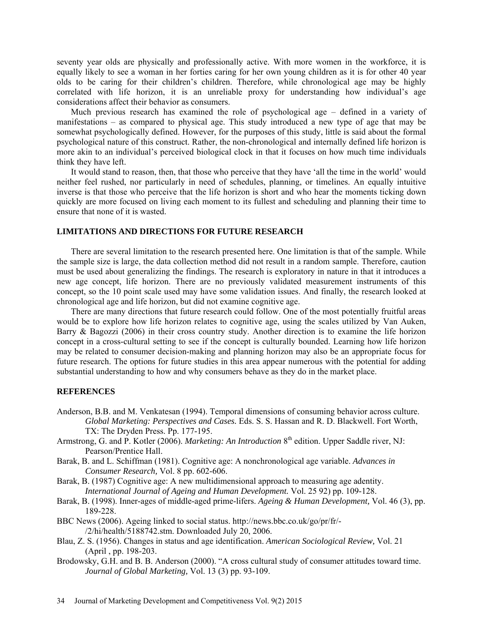seventy year olds are physically and professionally active. With more women in the workforce, it is equally likely to see a woman in her forties caring for her own young children as it is for other 40 year olds to be caring for their children's children. Therefore, while chronological age may be highly correlated with life horizon, it is an unreliable proxy for understanding how individual's age considerations affect their behavior as consumers.

Much previous research has examined the role of psychological age – defined in a variety of manifestations – as compared to physical age. This study introduced a new type of age that may be somewhat psychologically defined. However, for the purposes of this study, little is said about the formal psychological nature of this construct. Rather, the non-chronological and internally defined life horizon is more akin to an individual's perceived biological clock in that it focuses on how much time individuals think they have left.

It would stand to reason, then, that those who perceive that they have 'all the time in the world' would neither feel rushed, nor particularly in need of schedules, planning, or timelines. An equally intuitive inverse is that those who perceive that the life horizon is short and who hear the moments ticking down quickly are more focused on living each moment to its fullest and scheduling and planning their time to ensure that none of it is wasted.

### **LIMITATIONS AND DIRECTIONS FOR FUTURE RESEARCH**

There are several limitation to the research presented here. One limitation is that of the sample. While the sample size is large, the data collection method did not result in a random sample. Therefore, caution must be used about generalizing the findings. The research is exploratory in nature in that it introduces a new age concept, life horizon. There are no previously validated measurement instruments of this concept, so the 10 point scale used may have some validation issues. And finally, the research looked at chronological age and life horizon, but did not examine cognitive age.

There are many directions that future research could follow. One of the most potentially fruitful areas would be to explore how life horizon relates to cognitive age, using the scales utilized by Van Auken, Barry & Bagozzi (2006) in their cross country study. Another direction is to examine the life horizon concept in a cross-cultural setting to see if the concept is culturally bounded. Learning how life horizon may be related to consumer decision-making and planning horizon may also be an appropriate focus for future research. The options for future studies in this area appear numerous with the potential for adding substantial understanding to how and why consumers behave as they do in the market place.

### **REFERENCES**

- Anderson, B.B. and M. Venkatesan (1994). Temporal dimensions of consuming behavior across culture. *Global Marketing: Perspectives and Cases.* Eds. S. S. Hassan and R. D. Blackwell. Fort Worth, TX: The Dryden Press. Pp. 177-195.
- Armstrong, G. and P. Kotler (2006). *Marketing: An Introduction* 8<sup>th</sup> edition. Upper Saddle river, NJ: Pearson/Prentice Hall.
- Barak, B. and L. Schiffman (1981). Cognitive age: A nonchronological age variable. *Advances in Consumer Research,* Vol. 8 pp. 602-606.

Barak, B. (1987) Cognitive age: A new multidimensional approach to measuring age adentity. *International Journal of Ageing and Human Development.* Vol. 25 92) pp. 109-128.

- Barak, B. (1998). Inner-ages of middle-aged prime-lifers. *Ageing & Human Development,* Vol. 46 (3), pp. 189-228.
- BBC News (2006). Ageing linked to social status. [http://news.bbc.co.uk/go/pr/fr/-](http://news.bbc.co.uk/go/pr/fr/-/2/hi/health/5188742.stm) [/2/hi/health/5188742.stm.](http://news.bbc.co.uk/go/pr/fr/-/2/hi/health/5188742.stm) Downloaded July 20, 2006.
- Blau, Z. S. (1956). Changes in status and age identification. *American Sociological Review,* Vol. 21 (April , pp. 198-203.
- Brodowsky, G.H. and B. B. Anderson (2000). "A cross cultural study of consumer attitudes toward time. *Journal of Global Marketing,* Vol. 13 (3) pp. 93-109.